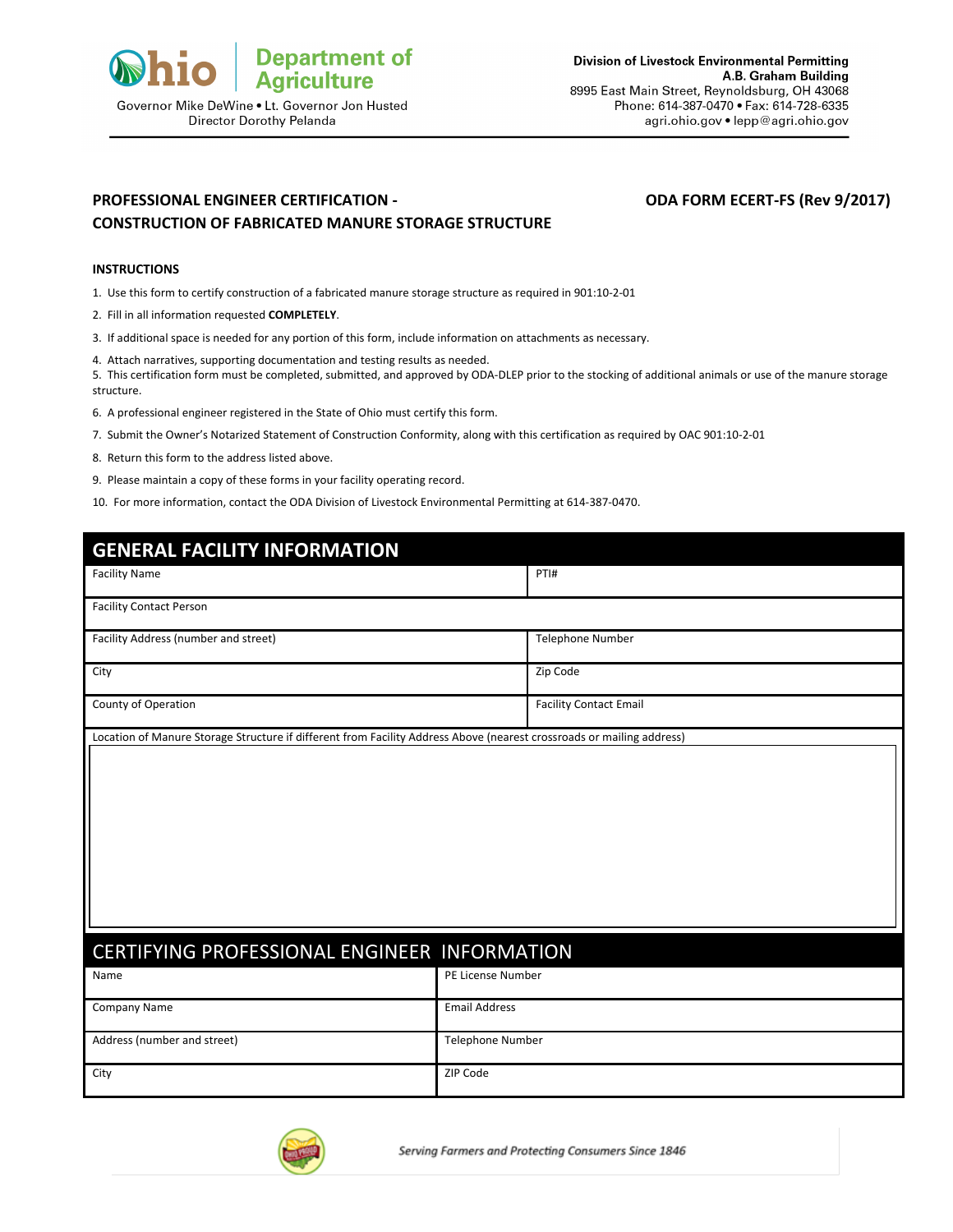

## **PROFESSIONAL ENGINEER CERTIFICATION - ODA FORM ECERT-FS (Rev 9/2017) CONSTRUCTION OF FABRICATED MANURE STORAGE STRUCTURE**

## **INSTRUCTIONS**

1. Use this form to certify construction of a fabricated manure storage structure as required in 901:10-2-01

2. Fill in all information requested **COMPLETELY**.

3. If additional space is needed for any portion of this form, include information on attachments as necessary.

4. Attach narratives, supporting documentation and testing results as needed.

5. This certification form must be completed, submitted, and approved by ODA-DLEP prior to the stocking of additional animals or use of the manure storage structure.

6. A professional engineer registered in the State of Ohio must certify this form.

- 7. Submit the Owner's Notarized Statement of Construction Conformity, along with this certification as required by OAC 901:10-2-01
- 8. Return this form to the address listed above.
- 9. Please maintain a copy of these forms in your facility operating record.
- 10. For more information, contact the ODA Division of Livestock Environmental Permitting at 614-387-0470.

| <b>GENERAL FACILITY INFORMATION</b>          |                               |  |
|----------------------------------------------|-------------------------------|--|
| <b>Facility Name</b>                         | PTI#                          |  |
| <b>Facility Contact Person</b>               |                               |  |
| Facility Address (number and street)         | Telephone Number              |  |
| City                                         | Zip Code                      |  |
| County of Operation                          | <b>Facility Contact Email</b> |  |
|                                              |                               |  |
| CERTIFYING PROFESSIONAL ENGINEER INFORMATION |                               |  |
| Name                                         | PE License Number             |  |
| <b>Company Name</b>                          | <b>Email Address</b>          |  |
| Address (number and street)                  | Telephone Number              |  |
| City                                         | ZIP Code                      |  |

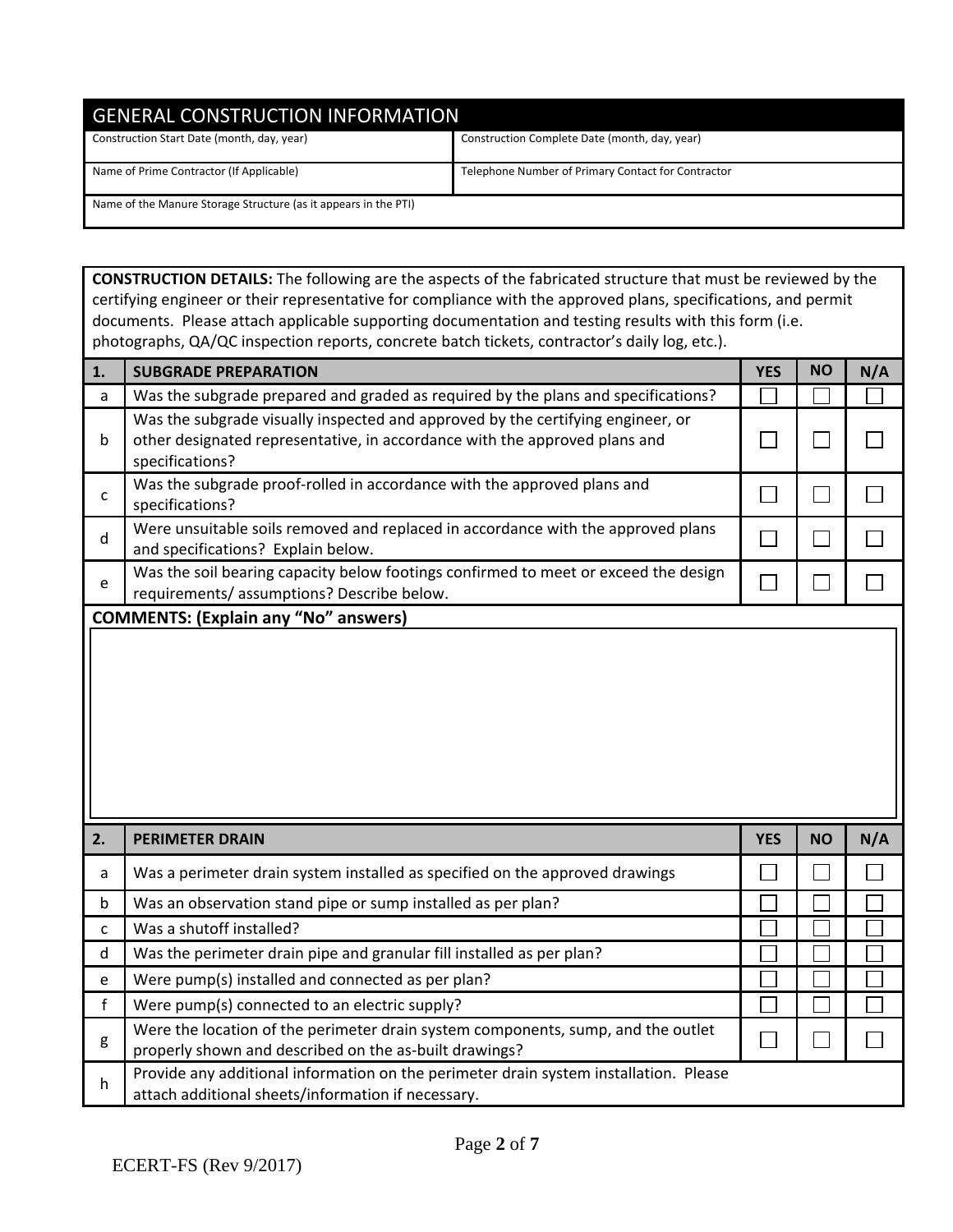| <b>GENERAL CONSTRUCTION INFORMATION</b>                         |                                                    |  |  |  |  |
|-----------------------------------------------------------------|----------------------------------------------------|--|--|--|--|
| Construction Start Date (month, day, year)                      | Construction Complete Date (month, day, year)      |  |  |  |  |
| Name of Prime Contractor (If Applicable)                        | Telephone Number of Primary Contact for Contractor |  |  |  |  |
| Name of the Manure Storage Structure (as it appears in the PTI) |                                                    |  |  |  |  |

|              | <b>CONSTRUCTION DETAILS:</b> The following are the aspects of the fabricated structure that must be reviewed by the                                                                                    |            |           |     |
|--------------|--------------------------------------------------------------------------------------------------------------------------------------------------------------------------------------------------------|------------|-----------|-----|
|              | certifying engineer or their representative for compliance with the approved plans, specifications, and permit                                                                                         |            |           |     |
|              | documents. Please attach applicable supporting documentation and testing results with this form (i.e.<br>photographs, QA/QC inspection reports, concrete batch tickets, contractor's daily log, etc.). |            |           |     |
|              |                                                                                                                                                                                                        |            | <b>NO</b> |     |
| 1.           | <b>SUBGRADE PREPARATION</b>                                                                                                                                                                            | <b>YES</b> |           | N/A |
| a            | Was the subgrade prepared and graded as required by the plans and specifications?                                                                                                                      |            |           |     |
|              | Was the subgrade visually inspected and approved by the certifying engineer, or                                                                                                                        |            |           |     |
| b            | other designated representative, in accordance with the approved plans and<br>specifications?                                                                                                          |            |           |     |
|              | Was the subgrade proof-rolled in accordance with the approved plans and                                                                                                                                |            |           |     |
| $\mathsf{C}$ | specifications?                                                                                                                                                                                        |            |           |     |
|              | Were unsuitable soils removed and replaced in accordance with the approved plans                                                                                                                       |            |           |     |
| d            | and specifications? Explain below.                                                                                                                                                                     |            |           |     |
|              | Was the soil bearing capacity below footings confirmed to meet or exceed the design                                                                                                                    |            |           |     |
| e            | requirements/assumptions? Describe below.                                                                                                                                                              |            |           |     |
|              | <b>COMMENTS: (Explain any "No" answers)</b>                                                                                                                                                            |            |           |     |
|              |                                                                                                                                                                                                        |            |           |     |
| 2.           |                                                                                                                                                                                                        |            |           |     |
| a            | <b>PERIMETER DRAIN</b>                                                                                                                                                                                 | <b>YES</b> | <b>NO</b> | N/A |
|              | Was a perimeter drain system installed as specified on the approved drawings                                                                                                                           |            |           |     |
| $\mathsf b$  | Was an observation stand pipe or sump installed as per plan?                                                                                                                                           |            |           |     |
| $\mathsf{C}$ | Was a shutoff installed?                                                                                                                                                                               |            |           |     |
| d            | Was the perimeter drain pipe and granular fill installed as per plan?                                                                                                                                  |            |           |     |
| e            | Were pump(s) installed and connected as per plan?                                                                                                                                                      |            |           |     |
| $\mathsf{f}$ | Were pump(s) connected to an electric supply?                                                                                                                                                          |            |           |     |
| g            | Were the location of the perimeter drain system components, sump, and the outlet<br>properly shown and described on the as-built drawings?                                                             |            |           |     |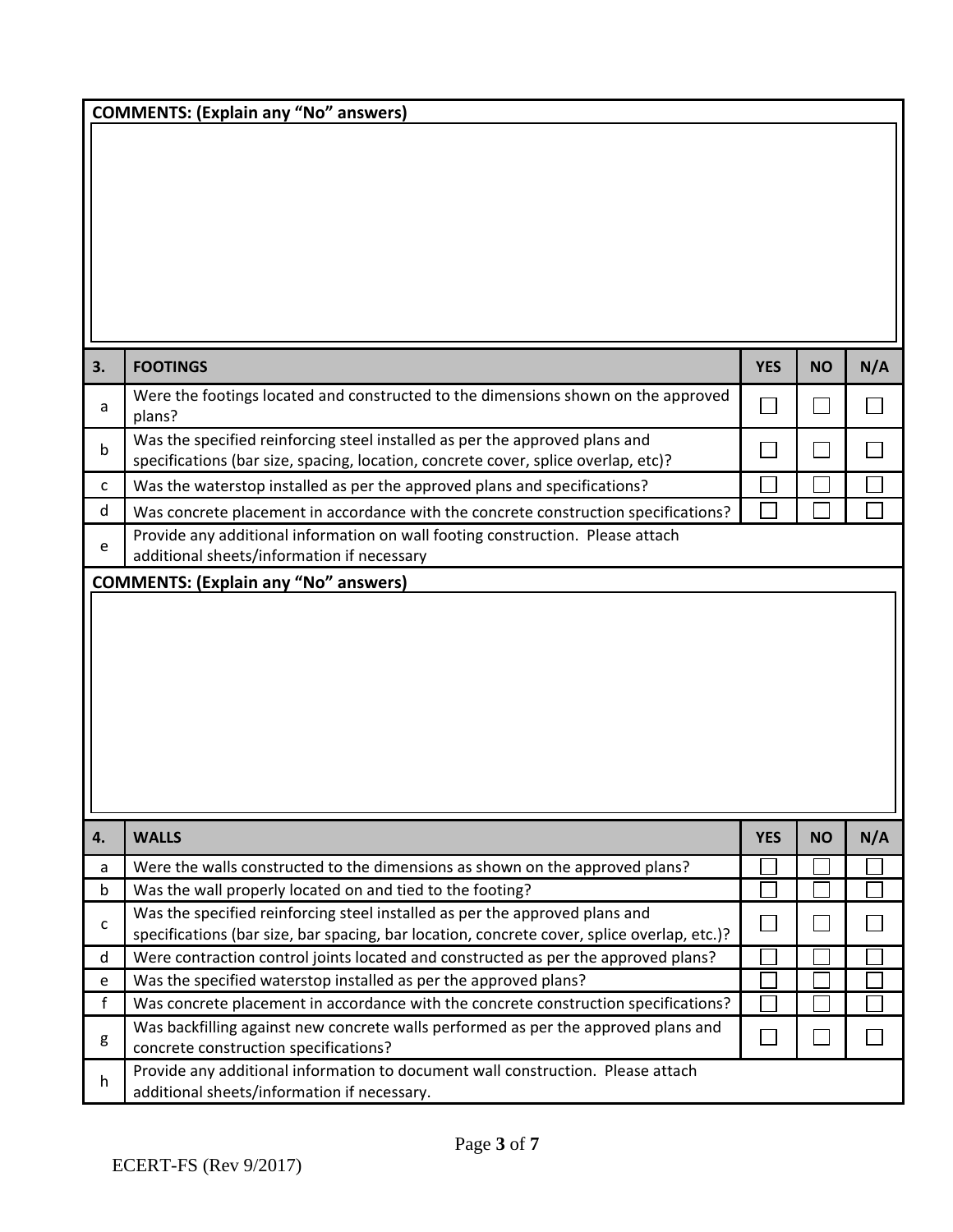**COMMENTS: (Explain any "No" answers)**

| 3. | <b>FOOTINGS</b>                                                                                                                                                            | <b>YES</b> | <b>NO</b> | N/A |
|----|----------------------------------------------------------------------------------------------------------------------------------------------------------------------------|------------|-----------|-----|
| a  | Were the footings located and constructed to the dimensions shown on the approved<br>plans?                                                                                |            |           |     |
| b  | Was the specified reinforcing steel installed as per the approved plans and<br>specifications (bar size, spacing, location, concrete cover, splice overlap, etc)?          |            |           |     |
| C  | Was the waterstop installed as per the approved plans and specifications?                                                                                                  |            |           |     |
| d  | Was concrete placement in accordance with the concrete construction specifications?                                                                                        |            |           |     |
| e  | Provide any additional information on wall footing construction. Please attach<br>additional sheets/information if necessary                                               |            |           |     |
|    | <b>COMMENTS: (Explain any "No" answers)</b>                                                                                                                                |            |           |     |
|    |                                                                                                                                                                            |            |           |     |
| 4. | <b>WALLS</b>                                                                                                                                                               | <b>YES</b> | <b>NO</b> | N/A |
| a  | Were the walls constructed to the dimensions as shown on the approved plans?                                                                                               |            |           |     |
| b  | Was the wall properly located on and tied to the footing?                                                                                                                  |            |           |     |
| C  | Was the specified reinforcing steel installed as per the approved plans and<br>specifications (bar size, bar spacing, bar location, concrete cover, splice overlap, etc.)? |            |           |     |
| d  | Were contraction control joints located and constructed as per the approved plans?                                                                                         |            |           |     |
| e  | Was the specified waterstop installed as per the approved plans?                                                                                                           |            |           |     |
| f  | Was concrete placement in accordance with the concrete construction specifications?                                                                                        |            |           |     |
| g  | Was backfilling against new concrete walls performed as per the approved plans and<br>concrete construction specifications?                                                |            |           |     |
| h  | Provide any additional information to document wall construction. Please attach                                                                                            |            |           |     |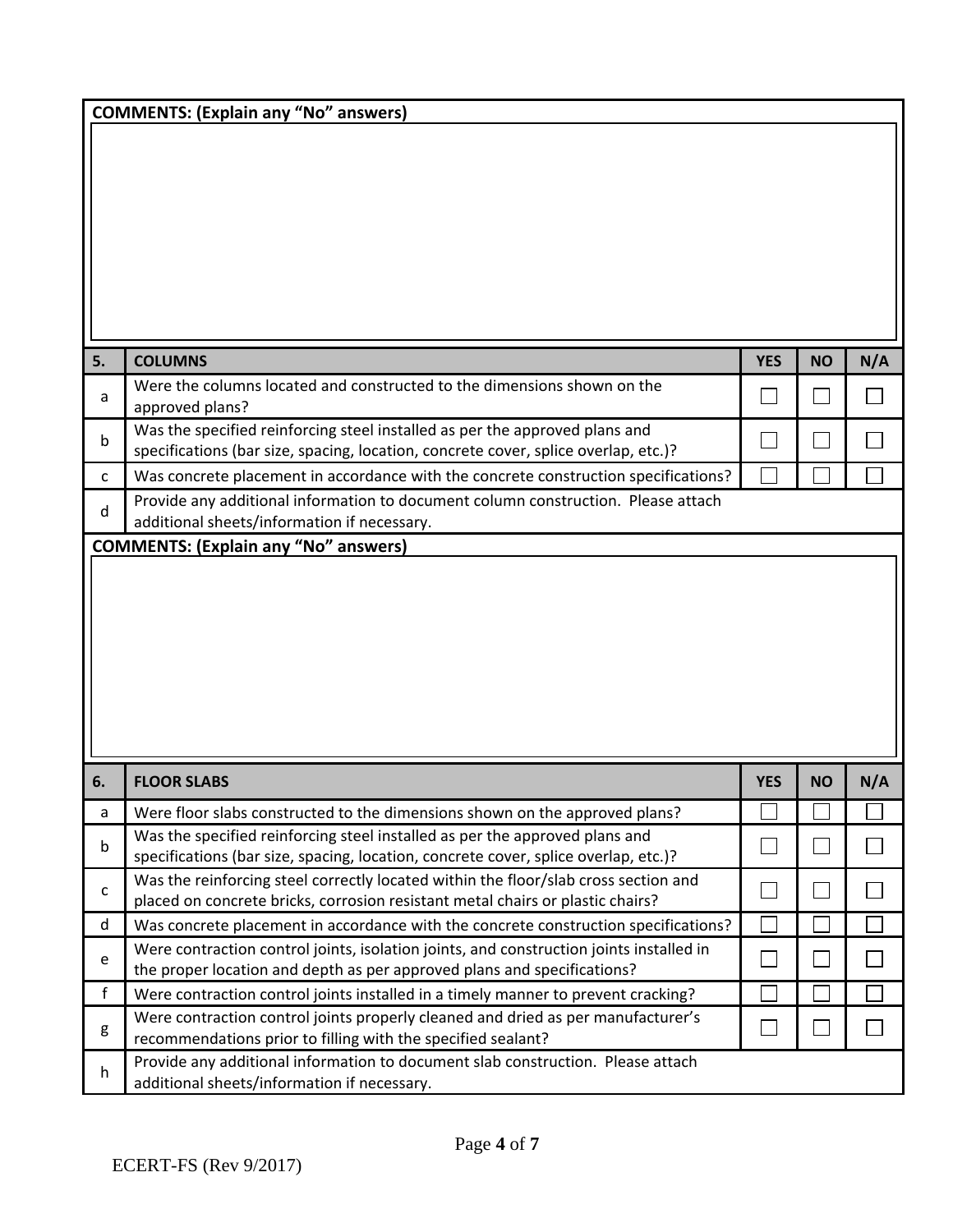| 5.           | <b>COLUMNS</b>                                                                                                                                                        | <b>YES</b> | <b>NO</b> | N/A |
|--------------|-----------------------------------------------------------------------------------------------------------------------------------------------------------------------|------------|-----------|-----|
| a            | Were the columns located and constructed to the dimensions shown on the<br>approved plans?                                                                            |            |           |     |
| b            | Was the specified reinforcing steel installed as per the approved plans and<br>specifications (bar size, spacing, location, concrete cover, splice overlap, etc.)?    |            |           |     |
| $\mathsf{C}$ | Was concrete placement in accordance with the concrete construction specifications?                                                                                   |            |           |     |
| $\sf d$      | Provide any additional information to document column construction. Please attach<br>additional sheets/information if necessary.                                      |            |           |     |
|              |                                                                                                                                                                       |            |           |     |
|              |                                                                                                                                                                       |            |           |     |
| 6.           | <b>FLOOR SLABS</b>                                                                                                                                                    | <b>YES</b> | <b>NO</b> | N/A |
| a            | Were floor slabs constructed to the dimensions shown on the approved plans?                                                                                           |            |           |     |
| b            | Was the specified reinforcing steel installed as per the approved plans and<br>specifications (bar size, spacing, location, concrete cover, splice overlap, etc.)?    |            |           |     |
| c            | Was the reinforcing steel correctly located within the floor/slab cross section and<br>placed on concrete bricks, corrosion resistant metal chairs or plastic chairs? |            |           |     |
| d            | Was concrete placement in accordance with the concrete construction specifications?                                                                                   |            |           |     |
| e            | Were contraction control joints, isolation joints, and construction joints installed in<br>the proper location and depth as per approved plans and specifications?    |            |           |     |
| f            | Were contraction control joints installed in a timely manner to prevent cracking?                                                                                     |            |           |     |
| g            | Were contraction control joints properly cleaned and dried as per manufacturer's                                                                                      |            |           |     |
|              | recommendations prior to filling with the specified sealant?                                                                                                          |            |           |     |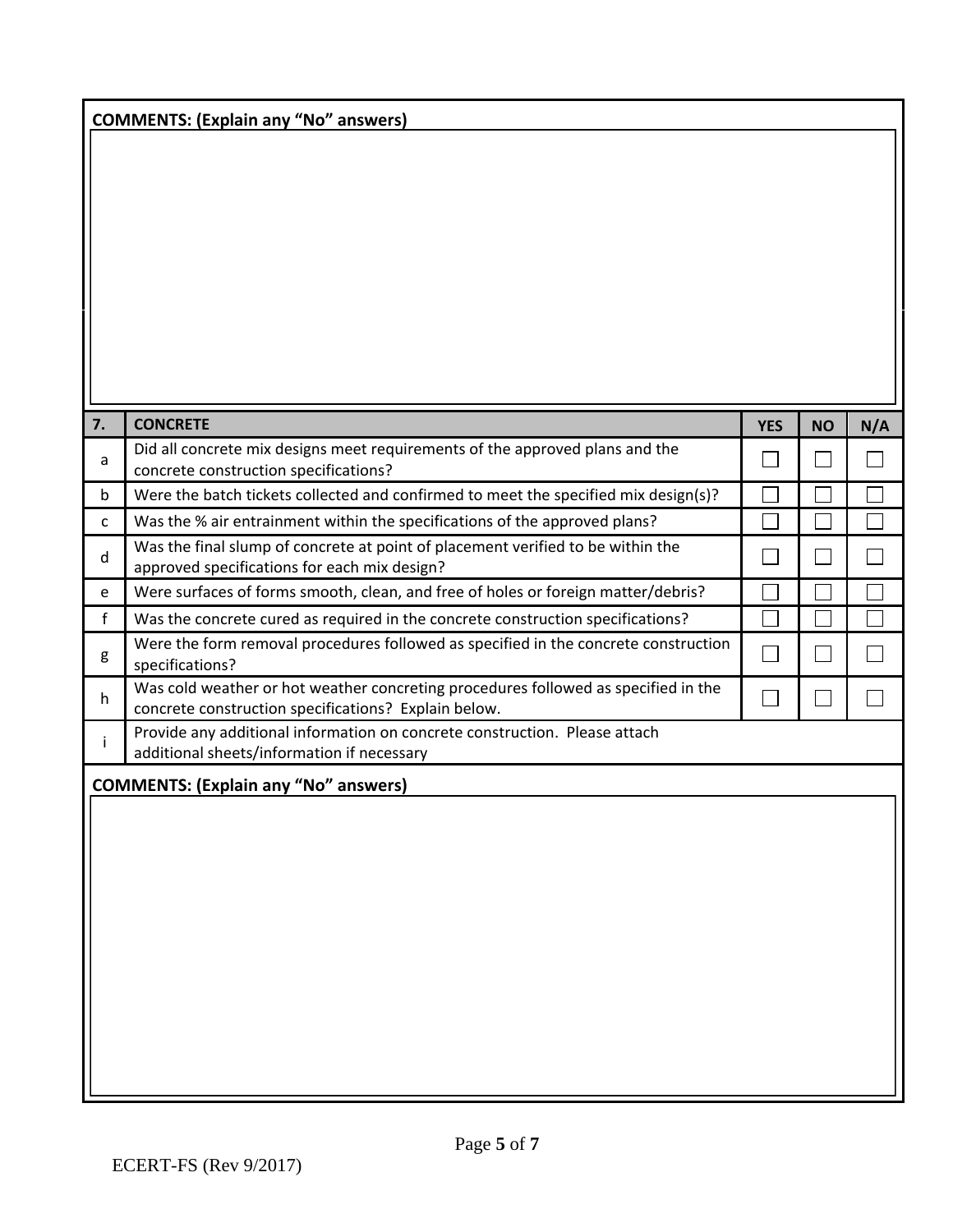|             | <b>COMMENTS: (Explain any "No" answers)</b>                                                                                                |            |           |     |
|-------------|--------------------------------------------------------------------------------------------------------------------------------------------|------------|-----------|-----|
|             |                                                                                                                                            |            |           |     |
|             |                                                                                                                                            |            |           |     |
|             |                                                                                                                                            |            |           |     |
|             |                                                                                                                                            |            |           |     |
| 7.          | <b>CONCRETE</b>                                                                                                                            | <b>YES</b> | <b>NO</b> | N/A |
| a           | Did all concrete mix designs meet requirements of the approved plans and the<br>concrete construction specifications?                      |            |           |     |
| $\mathsf b$ | Were the batch tickets collected and confirmed to meet the specified mix design(s)?                                                        |            |           |     |
| C           | Was the % air entrainment within the specifications of the approved plans?                                                                 |            |           |     |
| d           | Was the final slump of concrete at point of placement verified to be within the<br>approved specifications for each mix design?            |            |           |     |
| e           | Were surfaces of forms smooth, clean, and free of holes or foreign matter/debris?                                                          |            |           |     |
| f           | Was the concrete cured as required in the concrete construction specifications?                                                            |            |           |     |
| g           | Were the form removal procedures followed as specified in the concrete construction<br>specifications?                                     |            |           |     |
| h           | Was cold weather or hot weather concreting procedures followed as specified in the<br>concrete construction specifications? Explain below. |            |           |     |
| i.          | Provide any additional information on concrete construction. Please attach<br>additional sheets/information if necessary                   |            |           |     |
|             | <b>COMMENTS: (Explain any "No" answers)</b>                                                                                                |            |           |     |
|             |                                                                                                                                            |            |           |     |
|             |                                                                                                                                            |            |           |     |
|             |                                                                                                                                            |            |           |     |
|             |                                                                                                                                            |            |           |     |
|             |                                                                                                                                            |            |           |     |
|             |                                                                                                                                            |            |           |     |
|             |                                                                                                                                            |            |           |     |
|             |                                                                                                                                            |            |           |     |
|             |                                                                                                                                            |            |           |     |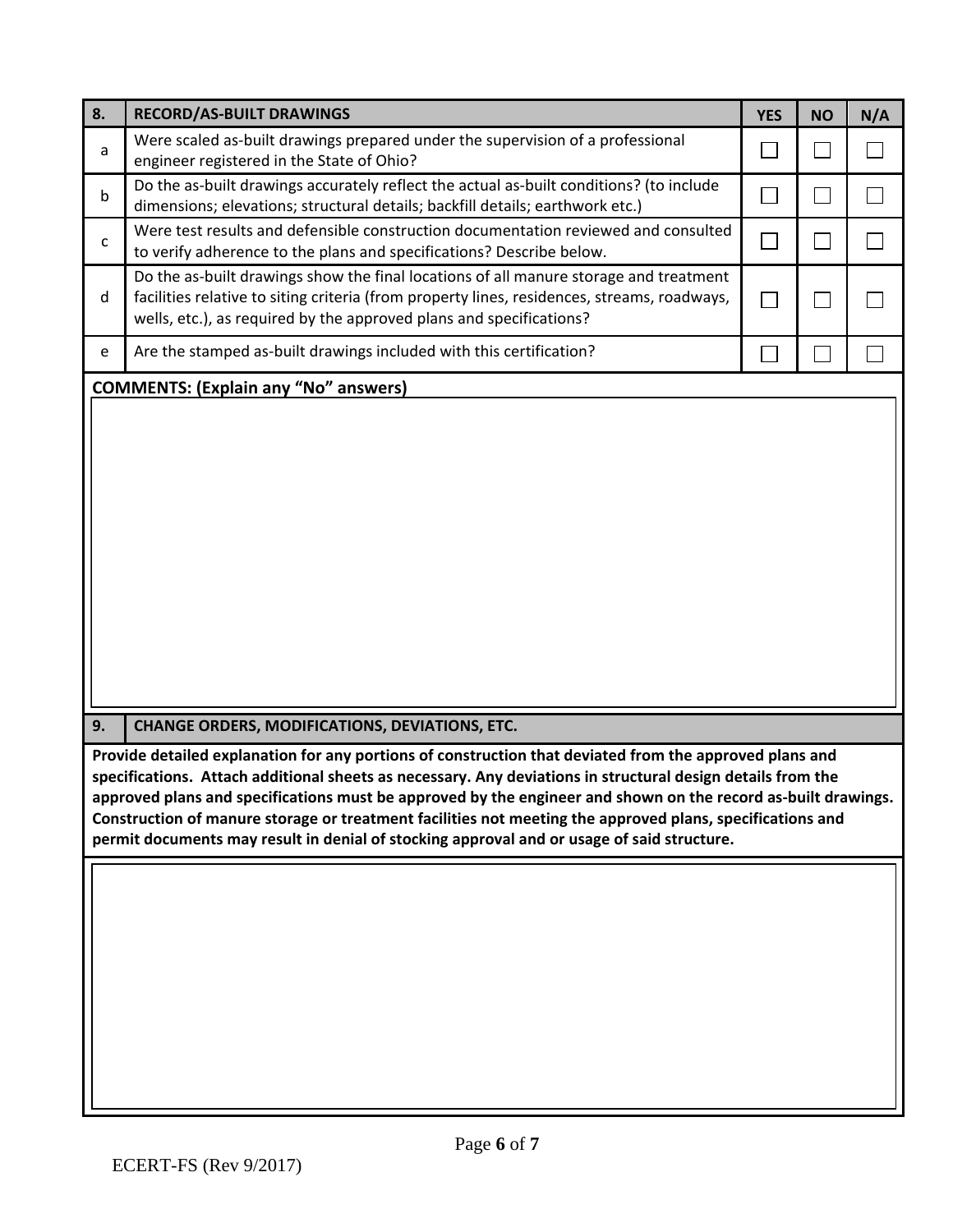| 8.                                                                                                                                                                                                                                                                                                                                                                                                                                                                                                                                                 | <b>RECORD/AS-BUILT DRAWINGS</b>                                                                                                                                                                                                                             | <b>YES</b> | <b>NO</b> | N/A |
|----------------------------------------------------------------------------------------------------------------------------------------------------------------------------------------------------------------------------------------------------------------------------------------------------------------------------------------------------------------------------------------------------------------------------------------------------------------------------------------------------------------------------------------------------|-------------------------------------------------------------------------------------------------------------------------------------------------------------------------------------------------------------------------------------------------------------|------------|-----------|-----|
| a                                                                                                                                                                                                                                                                                                                                                                                                                                                                                                                                                  | Were scaled as-built drawings prepared under the supervision of a professional<br>engineer registered in the State of Ohio?                                                                                                                                 |            |           |     |
| b                                                                                                                                                                                                                                                                                                                                                                                                                                                                                                                                                  | Do the as-built drawings accurately reflect the actual as-built conditions? (to include<br>dimensions; elevations; structural details; backfill details; earthwork etc.)                                                                                    |            |           |     |
| C                                                                                                                                                                                                                                                                                                                                                                                                                                                                                                                                                  | Were test results and defensible construction documentation reviewed and consulted<br>to verify adherence to the plans and specifications? Describe below.                                                                                                  |            |           |     |
| d                                                                                                                                                                                                                                                                                                                                                                                                                                                                                                                                                  | Do the as-built drawings show the final locations of all manure storage and treatment<br>facilities relative to siting criteria (from property lines, residences, streams, roadways,<br>wells, etc.), as required by the approved plans and specifications? |            |           |     |
| e                                                                                                                                                                                                                                                                                                                                                                                                                                                                                                                                                  | Are the stamped as-built drawings included with this certification?                                                                                                                                                                                         |            |           |     |
|                                                                                                                                                                                                                                                                                                                                                                                                                                                                                                                                                    | <b>COMMENTS: (Explain any "No" answers)</b>                                                                                                                                                                                                                 |            |           |     |
| 9.                                                                                                                                                                                                                                                                                                                                                                                                                                                                                                                                                 | <b>CHANGE ORDERS, MODIFICATIONS, DEVIATIONS, ETC.</b>                                                                                                                                                                                                       |            |           |     |
| Provide detailed explanation for any portions of construction that deviated from the approved plans and<br>specifications. Attach additional sheets as necessary. Any deviations in structural design details from the<br>approved plans and specifications must be approved by the engineer and shown on the record as-built drawings.<br>Construction of manure storage or treatment facilities not meeting the approved plans, specifications and<br>permit documents may result in denial of stocking approval and or usage of said structure. |                                                                                                                                                                                                                                                             |            |           |     |
|                                                                                                                                                                                                                                                                                                                                                                                                                                                                                                                                                    |                                                                                                                                                                                                                                                             |            |           |     |